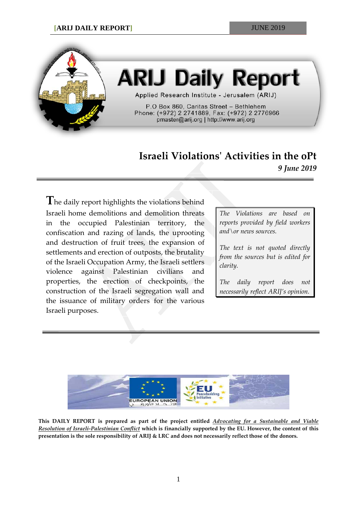

# **ARIJ Daily Report**

Applied Research Institute - Jerusalem (ARIJ)

P.O Box 860, Caritas Street - Bethlehem Phone: (+972) 2 2741889, Fax: (+972) 2 2776966 pmaster@arij.org | http://www.arij.org

## **Israeli Violations' Activities in the oPt** *9 June 2019*

**T**he daily report highlights the violations behind Israeli home demolitions and demolition threats in the occupied Palestinian territory, the confiscation and razing of lands, the uprooting and destruction of fruit trees, the expansion of settlements and erection of outposts, the brutality of the Israeli Occupation Army, the Israeli settlers violence against Palestinian civilians and properties, the erection of checkpoints, the construction of the Israeli segregation wall and the issuance of military orders for the various Israeli purposes.

*The Violations are based on reports provided by field workers and\or news sources.*

*The text is not quoted directly from the sources but is edited for clarity.*

*The daily report does not necessarily reflect ARIJ's opinion.*



**This DAILY REPORT is prepared as part of the project entitled** *Advocating for a Sustainable and Viable Resolution of Israeli-Palestinian Conflict* **which is financially supported by the EU. However, the content of this presentation is the sole responsibility of ARIJ & LRC and does not necessarily reflect those of the donors.**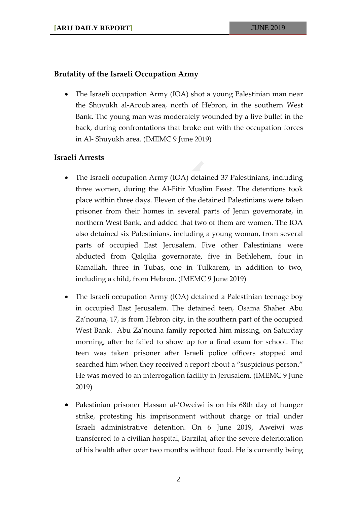#### **Brutality of the Israeli Occupation Army**

• The Israeli occupation Army (IOA) shot a young Palestinian man near the Shuyukh al-Aroub area, north of Hebron, in the southern West Bank. The young man was moderately wounded by a live bullet in the back, during confrontations that broke out with the occupation forces in Al- Shuyukh area. (IMEMC 9 June 2019)

### **Israeli Arrests**

- The Israeli occupation Army (IOA) detained 37 Palestinians, including three women, during the Al-Fitir Muslim Feast. The detentions took place within three days. Eleven of the detained Palestinians were taken prisoner from their homes in several parts of Jenin governorate, in northern West Bank, and added that two of them are women. The IOA also detained six Palestinians, including a young woman, from several parts of occupied East Jerusalem. Five other Palestinians were abducted from Qalqilia governorate, five in Bethlehem, four in Ramallah, three in Tubas, one in Tulkarem, in addition to two, including a child, from Hebron. (IMEMC 9 June 2019)
- The Israeli occupation Army (IOA) detained a Palestinian teenage boy in occupied East Jerusalem. The detained teen, Osama Shaher Abu Za'nouna, 17, is from Hebron city, in the southern part of the occupied West Bank. Abu Za'nouna family reported him missing, on Saturday morning, after he failed to show up for a final exam for school. The teen was taken prisoner after Israeli police officers stopped and searched him when they received a report about a "suspicious person." He was moved to an interrogation facility in Jerusalem. (IMEMC 9 June 2019)
- Palestinian prisoner Hassan al-'Oweiwi is on his 68th day of hunger strike, protesting his imprisonment without charge or trial under Israeli administrative detention. On 6 June 2019, Aweiwi was transferred to a civilian hospital, Barzilai, after the severe deterioration of his health after over two months without food. He is currently being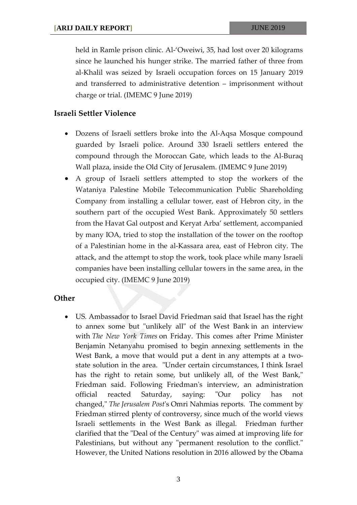held in Ramle prison clinic. Al-'Oweiwi, 35, had lost over 20 kilograms since he launched his hunger strike. The married father of three from al-Khalil was seized by Israeli occupation forces on 15 January 2019 and transferred to administrative detention – imprisonment without charge or trial. (IMEMC 9 June 2019)

#### **Israeli Settler Violence**

- Dozens of Israeli settlers broke into the Al-Aqsa Mosque compound guarded by Israeli police. Around 330 Israeli settlers entered the compound through the Moroccan Gate, which leads to the Al-Buraq Wall plaza, inside the Old City of Jerusalem. (IMEMC 9 June 2019)
- A group of Israeli settlers attempted to stop the workers of the Wataniya Palestine Mobile Telecommunication Public Shareholding Company from installing a cellular tower, east of Hebron city, in the southern part of the occupied West Bank. Approximately 50 settlers from the Havat Gal outpost and Keryat Arba' settlement, accompanied by many IOA, tried to stop the installation of the tower on the rooftop of a Palestinian home in the al-Kassara area, east of Hebron city. The attack, and the attempt to stop the work, took place while many Israeli companies have been installing cellular towers in the same area, in the occupied city. (IMEMC 9 June 2019)

#### **Other**

• US. Ambassador to Israel David Friedman said that Israel has the right to annex some but "unlikely all" of the West Bank in an [interview](https://www.nytimes.com/2019/06/08/world/middleeast/israel-west-bank-david-friedman.html) with *The New York [Times](https://www.nytimes.com/2019/06/08/world/middleeast/israel-west-bank-david-friedman.html)* on Friday. This comes after Prime Minister Benjamin Netanyahu promised to begin annexing settlements in the West Bank, a move that would put a dent in any attempts at a twostate solution in the area. "Under certain circumstances, I think Israel has the right to retain some, but unlikely all, of the West Bank," Friedman said. Following Friedman's interview, an administration official reacted Saturday, saying: "Our policy has not changed," *The Jerusalem Post*'s Omri Nahmias reports. The comment by Friedman stirred plenty of controversy, since much of the world views Israeli settlements in the West Bank as illegal. Friedman further clarified that the "Deal of the Century" was aimed at improving life for Palestinians, but without any "permanent resolution to the conflict." However, the United Nations resolution in 2016 allowed by the Obama